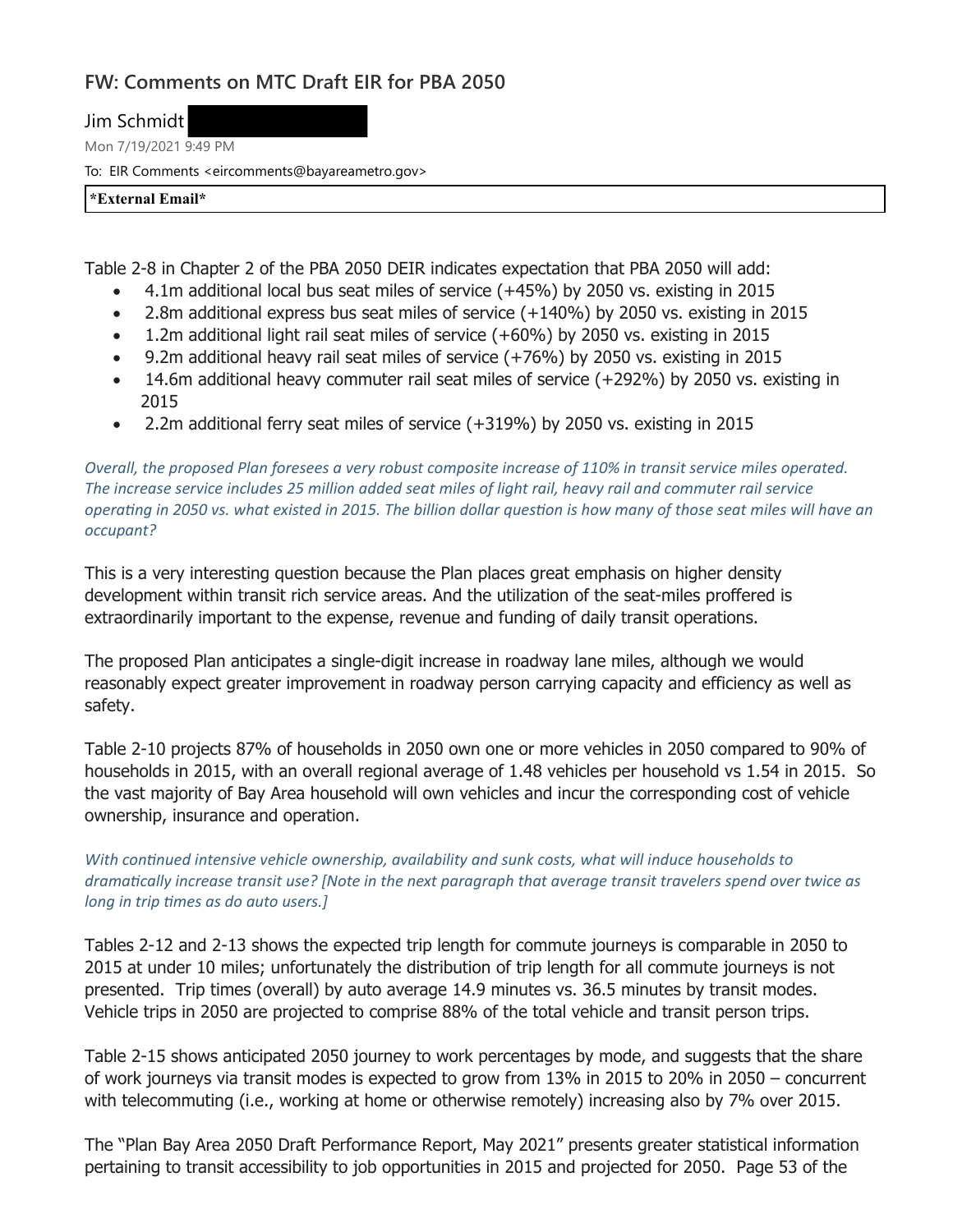## **FW: Comments on MTC Draft EIR for PBA 2050**

Jim Schmidt

Mon 7/19/2021 9:49 PM

To: EIR Comments <eircomments@bayareametro.gov>

**\*External Email\***

Table 2-8 in Chapter 2 of the PBA 2050 DEIR indicates expectation that PBA 2050 will add:

- · 4.1m additional local bus seat miles of service (+45%) by 2050 vs. existing in 2015
- · 2.8m additional express bus seat miles of service (+140%) by 2050 vs. existing in 2015
- · 1.2m additional light rail seat miles of service (+60%) by 2050 vs. existing in 2015
- · 9.2m additional heavy rail seat miles of service (+76%) by 2050 vs. existing in 2015
- · 14.6m additional heavy commuter rail seat miles of service (+292%) by 2050 vs. existing in 2015
- · 2.2m additional ferry seat miles of service (+319%) by 2050 vs. existing in 2015

*Overall, the proposed Plan foresees a very robust composite increase of 110% in transit service miles operated. The increase service includes 25 million added seat miles of light rail, heavy rail and commuter rail service operating in 2050 vs. what existed in 2015. The billion dollar question is how many of those seat miles will have an occupant?*

This is a very interesting question because the Plan places great emphasis on higher density development within transit rich service areas. And the utilization of the seat-miles proffered is extraordinarily important to the expense, revenue and funding of daily transit operations.

The proposed Plan anticipates a single-digit increase in roadway lane miles, although we would reasonably expect greater improvement in roadway person carrying capacity and efficiency as well as safety.

Table 2-10 projects 87% of households in 2050 own one or more vehicles in 2050 compared to 90% of households in 2015, with an overall regional average of 1.48 vehicles per household vs 1.54 in 2015. So the vast majority of Bay Area household will own vehicles and incur the corresponding cost of vehicle ownership, insurance and operation.

*With continued intensive vehicle ownership, availability and sunk costs, what will induce households to dramatically increase transit use? [Note in the next paragraph that average transit travelers spend over twice as long in trip times as do auto users.]*

Tables 2-12 and 2-13 shows the expected trip length for commute journeys is comparable in 2050 to 2015 at under 10 miles; unfortunately the distribution of trip length for all commute journeys is not presented. Trip times (overall) by auto average 14.9 minutes vs. 36.5 minutes by transit modes. Vehicle trips in 2050 are projected to comprise 88% of the total vehicle and transit person trips.

Table 2-15 shows anticipated 2050 journey to work percentages by mode, and suggests that the share of work journeys via transit modes is expected to grow from 13% in 2015 to 20% in 2050 – concurrent with telecommuting (i.e., working at home or otherwise remotely) increasing also by 7% over 2015.

The "Plan Bay Area 2050 Draft Performance Report, May 2021" presents greater statistical information pertaining to transit accessibility to job opportunities in 2015 and projected for 2050. Page 53 of the